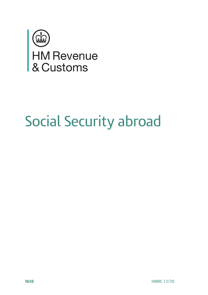

# Social Security abroad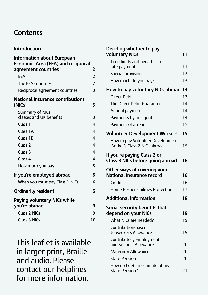### **Contents**

| Introduction                                                                                   | 1              |
|------------------------------------------------------------------------------------------------|----------------|
| Information about European<br><b>Economic Area (EEA) and reciprocal</b><br>agreement countries | 2              |
| <b>FFA</b>                                                                                     | 2              |
| The EEA countries                                                                              | $\overline{2}$ |
| Reciprocal agreement countries                                                                 | 3              |
| <b>National Insurance contributions</b><br>(NICs)                                              | 3              |
| Summary of NICs<br>classes and UK benefits                                                     | 3              |
| Class <sub>1</sub>                                                                             | 4              |
| Class 1A                                                                                       | 4              |
| Class 1B                                                                                       | 4              |
| Class <sub>2</sub>                                                                             | 4              |
| Class <sub>3</sub>                                                                             | 4              |
| Class <sub>4</sub>                                                                             | 4              |
| How much you pay                                                                               | 5              |
| If you're employed abroad                                                                      | 6              |
| When you must pay Class 1 NICs                                                                 | 6              |
| <b>Ordinarily resident</b>                                                                     | 6              |
| Paying voluntary NICs while                                                                    |                |
| you're abroad                                                                                  | 9              |
| Class 2 NICs                                                                                   | q              |
| Class 3 NICs                                                                                   | 10             |

This leaflet is available in larger print, Braille and audio. Please contact our helplines for more information.

| Deciding whether to pay<br>voluntary NICs                        | 11 |
|------------------------------------------------------------------|----|
|                                                                  |    |
| Time limits and penalties for<br>late payment                    | 11 |
| Special provisions                                               | 12 |
| How much do you pay?                                             | 13 |
| How to pay voluntary NICs abroad 13                              |    |
| <b>Direct Debit</b>                                              | 13 |
| The Direct Debit Guarantee                                       | 14 |
| Annual payment                                                   | 14 |
| Payments by an agent                                             | 14 |
| Payment of arrears                                               | 15 |
| <b>Volunteer Development Workers</b>                             | 15 |
| How to pay Volunteer Development<br>Worker's Class 2 NICs abroad | 15 |
| If you're paying Class 2 or<br>Class 3 NICs before going abroad  | 16 |
| Other ways of covering your                                      |    |
| National Insurance record                                        | 16 |
| Credits                                                          | 16 |
| Home Responsibilities Protection                                 | 17 |
| <b>Additional information</b>                                    | 18 |
| Social security benefits that                                    |    |
| depend on your NICs                                              | 19 |
| What NICs are needed?                                            | 19 |
| Contribution-based<br>Jobseeker's Allowance                      | 19 |
| Contributory Employment<br>and Support Allowance                 | 20 |
| <b>Maternity Allowance</b>                                       | 20 |
| <b>State Pension</b>                                             | 20 |
| How do I get an estimate of my<br><b>State Pension?</b>          | 21 |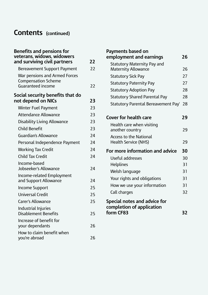# **Contents (continued)**

| <b>Benefits and pensions for</b><br>veterans, widows, widowers                   |    |
|----------------------------------------------------------------------------------|----|
| and surviving civil partners                                                     | 77 |
| Bereavement Support Payment                                                      | 22 |
| War pensions and Armed Forces<br><b>Compensation Scheme</b><br>Guaranteed income | 22 |
| Social security benefits that do<br>not depend on NICs                           | 23 |
| Winter Fuel Payment                                                              | 23 |
| Attendance Allowance                                                             | 23 |
| Disability Living Allowance                                                      | 23 |
| Child Benefit                                                                    | 23 |
| Guardian's Allowance                                                             | 24 |
| Personal Independence Payment                                                    | 24 |
| <b>Working Tax Credit</b>                                                        | 24 |
| Child Tax Credit                                                                 | 24 |
| Income-based<br>Jobseeker's Allowance                                            | 24 |
| Income-related Employment<br>and Support Allowance                               | 24 |
| Income Support                                                                   | 25 |
| Universal Credit                                                                 | 25 |
| Carer's Allowance                                                                | 25 |
| <b>Industrial Injuries</b><br>Disablement Benefits                               | 25 |
| Increase of benefit for<br>your dependants                                       | 26 |
| How to claim benefit when<br>you're abroad                                       | 26 |

| Payments based on                                         |    |
|-----------------------------------------------------------|----|
| employment and earnings                                   | 26 |
| Statutory Maternity Pay and<br>Maternity Allowance        | 26 |
| Statutory Sick Pay                                        | 27 |
| <b>Statutory Paternity Pay</b>                            | 27 |
| <b>Statutory Adoption Pay</b>                             | 28 |
| <b>Statutory Shared Parental Pay</b>                      | 28 |
| Statutory Parental Bereavement Pay'                       | 28 |
|                                                           |    |
| Cover for health care                                     | 29 |
| Health care when visiting<br>another country              | 29 |
| Access to the National<br><b>Health Service (NHS)</b>     | 29 |
| For more information and advice                           | 30 |
| Useful addresses                                          | 30 |
| <b>Helplines</b>                                          | 31 |
| Welsh language                                            | 31 |
| Your rights and obligations                               | 31 |
| How we use your information                               | 31 |
| Call charges                                              | 32 |
| Special notes and advice for<br>completion of application |    |
| form CF83                                                 | 32 |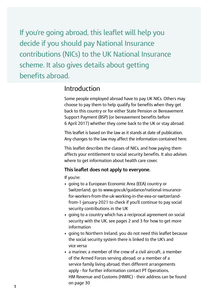If you're going abroad, this leaflet will help you decide if you should pay National Insurance contributions (NICs) to the UK National Insurance scheme. It also gives details about getting benefits abroad.

### Introduction

Some people employed abroad have to pay UK NICs. Others may choose to pay them to help qualify for benefits when they get back to this country or for either State Pension or Bereavement Support Payment (BSP) (or bereavement benefits before 6 April 2017) whether they come back to the UK or stay abroad.

 This leaflet is based on the law as it stands at date of publication. Any changes to the law may affect the information contained here.

This leaflet describes the classes of NICs, and how paying them affects your entitlement to social security benefits. It also advises where to get information about health care cover.

#### **This leaflet does not apply to everyone.**

If you're:

- going to a European Economic Area (EEA) country or Switzerland, go to <www.gov.uk/guidance/national-insurance>for-workers-from-the-uk-working-in-the-eea-or-switzerlandfrom-1-january-2021 to check if you'll continue to pay social security contributions in the UK
- going to a country which has a reciprocal agreement on social security with the UK, see pages 2 and 3 for how to get more information
- going to Northern Ireland, you do not need this leaflet because the social security system there is linked to the UK's and vice versa
- a mariner, a member of the crew of a civil aircraft, a member of the Armed Forces serving abroad, or a member of a service family living abroad, then different arrangements apply - for further information contact PT Operations, HM Revenue and Customs (HMRC) - their address can be found on page 30 **1**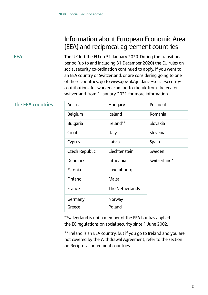### Information about European Economic Area (EEA) and reciprocal agreement countries

**EEA**

The UK left the EU on 31 January 2020. During the transitional period (up to and including 31 December 2020) the EU rules on social security co-ordination continued to apply. If you went to an EEA country or Switzerland, or are considering going to one of these countries, go to <www.gov.uk/guidance/social-security>contributions-for-workers-coming-to-the-uk-from-the-eea-orswitzerland-from-1-january-2021 for more information.

#### **The EEA countries**

| Austria        | Hungary          | Portugal     |
|----------------|------------------|--------------|
| Belgium        | Iceland          | Romania      |
| Bulgaria       | Ireland**        | Slovakia     |
| Croatia        | Italy            | Slovenia     |
| Cyprus         | Latvia           | Spain        |
| Czech Republic | I jechtenstein   | Sweden       |
| Denmark        | <b>Lithuania</b> | Switzerland* |
| <b>Estonia</b> | Luxembourg       |              |
| Finland        | Malta            |              |
| France         | The Netherlands  |              |
| Germany        | Norway           |              |
| Greece         | Poland           |              |

\*Switzerland is not a member of the EEA but has applied the EC regulations on social security since 1 June 2002.

\*\* Ireland is an EEA country, but if you go to Ireland and you are not covered by the Withdrawal Agreement, refer to the section on Reciprocal agreement countries.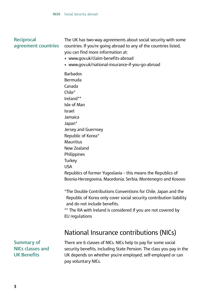#### **Reciprocal agreement countries**

The UK has two-way agreements about social security with some countries. If you're going abroad to any of the countries listed, you can find more information at:

- <www.gov.uk/claim-benefits-abroad>
- <www.gov.uk/national-insurance-if-you-go-abroad>

**Barbados** Bermuda Canada Chile\* Ireland\*\* Isle of Man Israel Jamaica Japan\* Jersey and Guernsey Republic of Korea\* Mauritius New Zealand **Philippines Turkey** USA Republics of former Yugoslavia – this means the Republics of Bosnia-Herzegovina, Macedonia, Serbia, Montenegro and Kosovo

\*The Double Contributions Conventions for Chile, Japan and the Republic of Korea only cover social security contribution liability and do not include benefits.

\*\* The RA with Ireland is considered if you are not covered by EU regulations

### National Insurance contributions (NICs)

**Summary of NICs classes and UK Benefits**

There are 6 classes of NICs. NICs help to pay for some social security benefits, including State Pension. The class you pay in the UK depends on whether you're employed, self-employed or can pay voluntary NICs.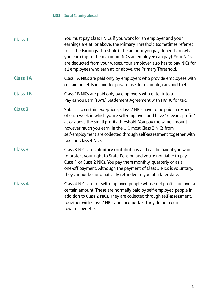| Class 1            | You must pay Class1 NICs if you work for an employer and your<br>earnings are at, or above, the Primary Threshold (sometimes referred<br>to as the Earnings Threshold). The amount you pay depends on what<br>you earn (up to the maximum NICs an employee can pay). Your NICs<br>are deducted from your wages. Your employer also has to pay NICs for<br>all employees who earn at, or above, the Primary Threshold. |
|--------------------|-----------------------------------------------------------------------------------------------------------------------------------------------------------------------------------------------------------------------------------------------------------------------------------------------------------------------------------------------------------------------------------------------------------------------|
| <b>Class 1A</b>    | Class 1A NICs are paid only by employers who provide employees with<br>certain benefits in kind for private use, for example, cars and fuel.                                                                                                                                                                                                                                                                          |
| <b>Class 1B</b>    | Class 1B NICs are paid only by employers who enter into a<br>Pay as You Earn (PAYE) Settlement Agreement with HMRC for tax.                                                                                                                                                                                                                                                                                           |
| Class <sub>2</sub> | Subject to certain exceptions, Class 2 NICs have to be paid in respect<br>of each week in which you're self-employed and have 'relevant profits'<br>at or above the small profits threshold. You pay the same amount<br>however much you earn. In the UK, most Class 2 NICs from<br>self-employment are collected through self-assessment together with<br>tax and Class 4 NICs.                                      |
| Class <sub>3</sub> | Class 3 NICs are voluntary contributions and can be paid if you want<br>to protect your right to State Pension and you're not liable to pay<br>Class 1 or Class 2 NICs. You pay them monthly, quarterly or as a<br>one-off payment. Although the payment of Class 3 NICs is voluntary,<br>they cannot be automatically refunded to you at a later date.                                                               |
| Class <sub>4</sub> | Class 4 NICs are for self-employed people whose net profits are over a<br>certain amount. These are normally paid by self-employed people in<br>addition to Class 2 NICs. They are collected through self-assessment,<br>together with Class 2 NICs and Income Tax. They do not count<br>towards benefits.                                                                                                            |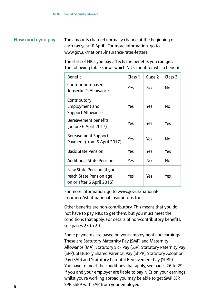#### **How much you pay** The amounts charged normally change at the beginning of each tax year (6 April). For more information, go to <www.gov.uk/national-insurance-rates-letters>

The class of NICs you pay affects the benefits you can get. The following table shows which NICs count for which benefit.

| <b>Benefit</b>                                                                    | Class 1 | Class <sub>2</sub> | Class 3 |
|-----------------------------------------------------------------------------------|---------|--------------------|---------|
| Contribution-based<br>Jobseeker's Allowance                                       | Yes     | No                 | No      |
| Contributory<br>Employment and<br>Support Allowance                               | Yes     | Yes                | No      |
| Bereavement benefits<br>(before 6 April 2017)                                     | Yes     | Yes                | Yes     |
| Bereavement Support<br>Payment (from 6 April 2017)                                | Yes     | Yes                | Nο      |
| <b>Basic State Pension</b>                                                        | Yes     | Yes                | Yes     |
| <b>Additional State Pension</b>                                                   | Yes     | Nο                 | Nο      |
| New State Pension (if you<br>reach State Pension age<br>on or after 6 April 2016) | Yes     | Yes                | Yes     |

For more information, go to<www.gov.uk/national>insurance/what-national-insurance-is-for

Other benefits are non-contributory. This means that you do not have to pay NICs to get them, but you must meet the conditions that apply. For details of non-contributory benefits, see pages 23 to 29.

Some payments are based on your employment and earnings. These are Statutory Maternity Pay (SMP) and Maternity Allowance (MA), Statutory Sick Pay (SSP), Statutory Paternity Pay (SPP), Statutory Shared Parental Pay (ShPP), Statutory Adoption Pay (SAP) and Statutory Parental Bereavement Pay (SPBP). You have to meet the conditions that apply, see pages 26 to 29. If you and your employer are liable to pay NICs on your earnings whilst you're working abroad you may be able to get SMP, SSP, SPP, ShPP with SAP from your employer. **<sup>5</sup>**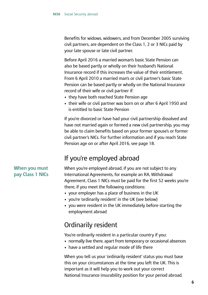Benefits for widows, widowers, and from December 2005 surviving civil partners, are dependent on the Class 1, 2 or 3 NICs paid by your late spouse or late civil partner.

Before April 2016 a married woman's basic State Pension can also be based partly or wholly on their husband's National Insurance record if this increases the value of their entitlement. From 6 April 2010 a married man's or civil partner's basic State Pension can be based partly or wholly on the National Insurance record of their wife or civil partner if:

- they have both reached State Pension age
- their wife or civil partner was born on or after 6 April 1950 and is entitled to basic State Pension

If you're divorced or have had your civil partnership dissolved and have not married again or formed a new civil partnership, you may be able to claim benefits based on your former spouse's or former civil partner's NICs. For further information and if you reach State Pension age on or after April 2016, see page 18.

## If you're employed abroad

#### **When you must pay Class 1 NICs**

When you're employed abroad, if you are not subject to any International Agreements, for example an RA, Withdrawal Agreement, Class 1 NICs must be paid for the first 52 weeks you're there, if you meet the following conditions:

- your employer has a place of business in the UK
- you're 'ordinarily resident' in the UK (see below)
- you were resident in the UK immediately before starting the employment abroad

### Ordinarily resident

You're ordinarily resident in a particular country if you:

- normally live there, apart from temporary or occasional absences
- have a settled and regular mode of life there

When you tell us your 'ordinarily resident' status you must base this on your circumstances at the time you left the UK. This is important as it will help you to work out your correct National Insurance insurability position for your period abroad.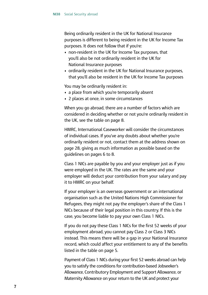Being ordinarily resident in the UK for National Insurance purposes is different to being resident in the UK for Income Tax purposes. It does not follow that if you're:

- non-resident in the UK for Income Tax purposes, that you'll also be not ordinarily resident in the UK for National Insurance purposes
- ordinarily resident in the UK for National Insurance purposes, that you'll also be resident in the UK for Income Tax purposes

You may be ordinarily resident in:

- a place from which you're temporarily absent
- 2 places at once, in some circumstances

When you go abroad, there are a number of factors which are considered in deciding whether or not you're ordinarily resident in the UK, see the table on page 8.

HMRC, International Caseworker will consider the circumstances of individual cases. If you've any doubts about whether you're ordinarily resident or not, contact them at the address shown on page 28, giving as much information as possible based on the guidelines on pages 6 to 8.

Class 1 NICs are payable by you and your employer just as if you were employed in the UK. The rates are the same and your employer will deduct your contribution from your salary and pay it to HMRC on your behalf.

If your employer is an overseas government or an international organisation such as the United Nations High Commissioner for Refugees, they might not pay the employer's share of the Class 1 NICs because of their legal position in this country. If this is the case, you become liable to pay your own Class 1 NICs.

If you do not pay these Class 1 NICs for the first 52 weeks of your employment abroad, you cannot pay Class 2 or Class 3 NICs instead. This means there will be a gap in your National Insurance record, which could affect your entitlement to any of the benefits listed in the table on page 5.

 Payment of Class 1 NICs during your first 52 weeks abroad can help you to satisfy the conditions for contribution-based Jobseeker's Allowance, Contributory Employment and Support Allowance, or Maternity Allowance on your return to the UK and protect your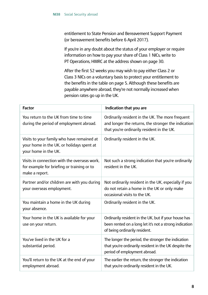entitlement to State Pension and Bereavement Support Payment (or bereavement benefits before 6 April 2017).

 If you're in any doubt about the status of your employer or require information on how to pay your share of Class 1 NICs, write to PT Operations, HMRC at the address shown on page 30.

 After the first 52 weeks you may wish to pay either Class 2 or Class 3 NICs on a voluntary basis to protect your entitlement to the benefits in the table on page 5. Although these benefits are payable anywhere abroad, they're not normally increased when pension rates go up in the UK.

| <b>Factor</b>                                                                                                   | Indication that you are                                                                                                                               |
|-----------------------------------------------------------------------------------------------------------------|-------------------------------------------------------------------------------------------------------------------------------------------------------|
| You return to the UK from time to time<br>during the period of employment abroad.                               | Ordinarily resident in the UK. The more frequent<br>and longer the returns, the stronger the indication<br>that you're ordinarily resident in the UK. |
| Visits to your family who have remained at<br>your home in the UK, or holidays spent at<br>your home in the UK. | Ordinarily resident in the UK.                                                                                                                        |
| Visits in connection with the overseas work.<br>for example for briefing or training or to<br>make a report.    | Not such a strong indication that you're ordinarily<br>resident in the UK.                                                                            |
| Partner and/or children are with you during<br>your overseas employment.                                        | Not ordinarily resident in the UK, especially if you<br>do not retain a home in the UK or only make<br>occasional visits to the UK.                   |
| You maintain a home in the UK during<br>your absence.                                                           | Ordinarily resident in the UK.                                                                                                                        |
| Your home in the UK is available for your<br>use on your return.                                                | Ordinarily resident in the UK, but if your house has<br>been rented on a long let it's not a strong indication<br>of being ordinarily resident.       |
| You've lived in the UK for a<br>substantial period.                                                             | The longer the period, the stronger the indication<br>that you're ordinarily resident in the UK despite the<br>period of employment abroad.           |
| You'll return to the UK at the end of your<br>employment abroad.                                                | The earlier the return, the stronger the indication<br>that you're ordinarily resident in the UK.                                                     |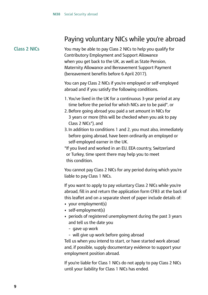### Paying voluntary NICs while you're abroad

#### **Class 2 NICs**

You may be able to pay Class 2 NICs to help you qualify for Contributory Employment and Support Allowance when you get back to the UK, as well as State Pension, Maternity Allowance and Bereavement Support Payment (bereavement benefits before 6 April 2017).

You can pay Class 2 NICs if you're employed or self-employed abroad and if you satisfy the following conditions.

- 1. You've lived in the UK for a continuous 3-year period at any time before the period for which NICs are to be paid\*, or
- 2. Before going abroad you paid a set amount in NICs for 3 years or more (this will be checked when you ask to pay Class 2 NICs\*), and
- 3. In addition to conditions 1 and 2, you must also, immediately before going abroad, have been ordinarily an employed or self-employed earner in the UK.

\*If you lived and worked in an EU, EEA country, Switzerland or Turkey, time spent there may help you to meet this condition.

You cannot pay Class 2 NICs for any period during which you're liable to pay Class 1 NICs.

If you want to apply to pay voluntary Class 2 NICs while you're abroad, fill in and return the application form CF83 at the back of this leaflet and on a separate sheet of paper include details of:

- your employment(s)
- self-employment(s)
- periods of registered unemployment during the past 3 years and tell us the date you
	- gave up work
	- will give up work before going abroad

Tell us when you intend to start, or have started work abroad and, if possible, supply documentary evidence to support your employment position abroad.

If you're liable for Class 1 NICs do not apply to pay Class 2 NICs until your liability for Class 1 NICs has ended.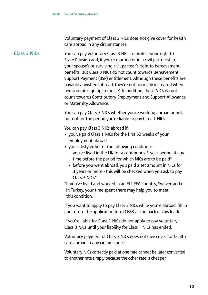Voluntary payment of Class 2 NICs does not give cover for health care abroad in any circumstances.

#### **Class 3 NICs**

You can pay voluntary Class 3 NICs to protect your right to State Pension and, if you're married or in a civil partnership, your spouse's or surviving civil partner's right to bereavement benefits. But Class 3 NICs do not count towards Bereavement Support Payment (BSP) entitlement. Although these benefits are payable anywhere abroad, they're not normally increased when pension rates go up in the UK. In addition, these NICs do not count towards Contributory Employment and Support Allowance or Maternity Allowance.

You can pay Class 3 NICs whether you're working abroad or not, but not for the period you're liable to pay Class 1 NICs.

You can pay Class 3 NICs abroad if:

- you've paid Class 1 NICs for the first 52 weeks of your employment abroad
- you satisfy either of the following conditions
	- you've lived in the UK for a continuous 3-year period at any time before the period for which NICs are to be paid\*
	- before you went abroad, you paid a set amount in NICs for 3 years or more - this will be checked when you ask to pay Class 3 NICs\*

\*If you've lived and worked in an EU, EEA country, Switzerland or in Turkey, your time spent there may help you to meet this condition.

If you want to apply to pay Class 3 NICs while you're abroad, fill in and return the application form CF83 at the back of this leaflet.

If you're liable for Class 1 NICs do not apply to pay voluntary Class 3 NICs until your liability for Class 1 NICs has ended.

Voluntary payment of Class 3 NICs does not give cover for health care abroad in any circumstances.

 Voluntary NICs correctly paid at one rate cannot be later converted to another rate simply because the other rate is cheaper.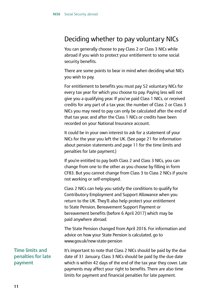### Deciding whether to pay voluntary NICs

You can generally choose to pay Class 2 or Class 3 NICs while abroad if you wish to protect your entitlement to some social security benefits.

There are some points to bear in mind when deciding what NICs you wish to pay.

For entitlement to benefits you must pay 52 voluntary NICs for every tax year for which you choose to pay. Paying less will not give you a qualifying year. If you've paid Class 1 NICs, or received credits for any part of a tax year, the number of Class 2 or Class 3 NICs you may need to pay can only be calculated after the end of that tax year, and after the Class 1 NICs or credits have been recorded on your National Insurance account.

It could be in your own interest to ask for a statement of your NICs for the year you left the UK. (See page 21 for information about pension statements and page 11 for the time limits and penalties for late payment.)

If you're entitled to pay both Class 2 and Class 3 NICs, you can change from one to the other as you choose by filling in form CF83. But you cannot change from Class 3 to Class 2 NICs if you're not working or self-employed.

Class 2 NICs can help you satisfy the conditions to qualify for Contributory Employment and Support Allowance when you return to the UK. They'll also help protect your entitlement to State Pension, Bereavement Support Payment or bereavement benefits (before 6 April 2017) which may be paid anywhere abroad.

 advice on how your State Pension is calculated, go to The State Pension changed from April 2016. For information and <www.gov.uk/new-state-pension>

It's important to note that Class 2 NICs should be paid by the due date of 31 January. Class 3 NICs should be paid by the due date which is within 42 days of the end of the tax year they cover. Late payments may affect your right to benefits. There are also time limits for payment and financial penalties for late payment.

**Time limits and penalties for late payment**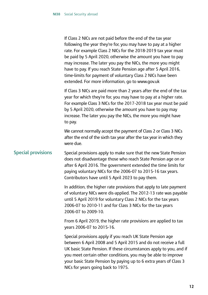| If Class 2 NICs are not paid before the end of the tax year     |  |
|-----------------------------------------------------------------|--|
| following the year they're for, you may have to pay at a higher |  |
| rate. For example Class 2 NICs for the 2018-2019 tax year must  |  |
| be paid by 5 April 2020, otherwise the amount you have to pay   |  |
| may increase. The later you pay the NICs, the more you might    |  |
| have to pay. If you reach State Pension age after 5 April 2016, |  |
| time-limits for payment of voluntary Class 2 NICs have been     |  |
| extended. For more information, go to www.gov.uk                |  |
|                                                                 |  |

 For example Class 3 NICs for the 2017-2018 tax year must be paid If Class 3 NICs are paid more than 2 years after the end of the tax year for which they're for, you may have to pay at a higher rate. by 5 April 2020, otherwise the amount you have to pay may increase. The later you pay the NICs, the more you might have to pay.

 We cannot normally accept the payment of Class 2 or Class 3 NICs after the end of the sixth tax year after the tax year in which they were due.

#### **Special provisions**

Special provisions apply to make sure that the new State Pension does not disadvantage those who reach State Pension age on or after 6 April 2016. The government extended the time limits for paying voluntary NICs for the 2006-07 to 2015-16 tax years. Contributors have until 5 April 2023 to pay them.

In addition, the higher rate provisions that apply to late payment of voluntary NICs were dis-applied. The 2012-13 rate was payable until 5 April 2019 for voluntary Class 2 NICs for the tax years 2006-07 to 2010-11 and for Class 3 NICs for the tax years 2006-07 to 2009-10.

From 6 April 2019, the higher rate provisions are applied to tax years 2006-07 to 2015-16.

Special provisions apply if you reach UK State Pension age between 6 April 2008 and 5 April 2015 and do not receive a full UK basic State Pension. If these circumstances apply to you, and if you meet certain other conditions, you may be able to improve your basic State Pension by paying up to 6 extra years of Class 3 NICs for years going back to 1975.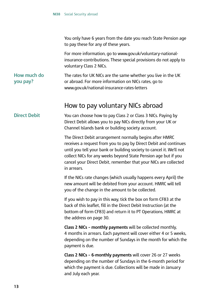You only have 6 years from the date you reach State Pension age to pay these for any of these years.

For more information, go to<www.gov.uk/voluntary-national>insurance-contributions. These special provisions do not apply to voluntary Class 2 NICs.

**How much do you pay?** The rates for UK NICs are the same whether you live in the UK or abroad. For more information on NICs rates, go to <www.gov.uk/national-insurance-rates-letters>

### How to pay voluntary NICs abroad

#### **Direct Debit**

You can choose how to pay Class 2 or Class 3 NICs. Paying by Direct Debit allows you to pay NICs directly from your UK or Channel Islands bank or building society account.

The Direct Debit arrangement normally begins after HMRC receives a request from you to pay by Direct Debit and continues until you tell your bank or building society to cancel it. We'll not collect NICs for any weeks beyond State Pension age but if you cancel your Direct Debit, remember that your NICs are collected in arrears.

If the NICs rate changes (which usually happens every April) the new amount will be debited from your account. HMRC will tell you of the change in the amount to be collected.

If you wish to pay in this way, tick the box on form CF83 at the back of this leaflet, fill in the Direct Debit Instruction (at the bottom of form CF83) and return it to PT Operations, HMRC at the address on page 30.

**Class 2 NICs – monthly payments** will be collected monthly, 4 months in arrears. Each payment will cover either 4 or 5 weeks, depending on the number of Sundays in the month for which the payment is due.

**Class 2 NICs – 6-monthly payments** will cover 26 or 27 weeks depending on the number of Sundays in the 6-month period for which the payment is due. Collections will be made in January and July each year.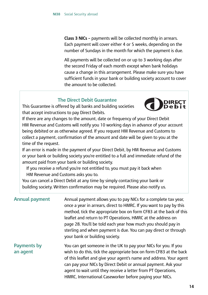**Class 3 NICs –** payments will be collected monthly in arrears. Each payment will cover either 4 or 5 weeks, depending on the number of Sundays in the month for which the payment is due.

All payments will be collected on or up to 3 working days after the second Friday of each month except when bank holidays cause a change in this arrangement. Please make sure you have sufficient funds in your bank or building society account to cover the amount to be collected.

#### **The Direct Debit Guarantee**

This Guarantee is offered by all banks and building societies that accept instructions to pay Direct Debits.



If there are any changes to the amount, date or frequency of your Direct Debit HM Revenue and Customs will notify you 10 working days in advance of your account being debited or as otherwise agreed. If you request HM Revenue and Customs to collect a payment, confirmation of the amount and date will be given to you at the time of the request.

If an error is made in the payment of your Direct Debit, by HM Revenue and Customs or your bank or building society you're entitled to a full and immediate refund of the amount paid from your bank or building society.

If you receive a refund you're not entitled to, you must pay it back when HM Revenue and Customs asks you to.

You can cancel a Direct Debit at any time by simply contacting your bank or building society. Written confirmation may be required. Please also notify us.

| <b>Annual payment</b>   | Annual payment allows you to pay NICs for a complete tax year,<br>once a year in arrears, direct to HMRC. If you want to pay by this<br>method, tick the appropriate box on form CF83 at the back of this<br>leaflet and return to PT Operations, HMRC at the address on<br>page 28. You'll be told each year how much you should pay in<br>sterling and when payment is due. You can pay direct or through<br>your bank or building society. |
|-------------------------|-----------------------------------------------------------------------------------------------------------------------------------------------------------------------------------------------------------------------------------------------------------------------------------------------------------------------------------------------------------------------------------------------------------------------------------------------|
| Payments by<br>an agent | You can get someone in the UK to pay your NICs for you. If you<br>wish to do this, tick the appropriate box on form CF83 at the back<br>of this leaflet and give your agent's name and address. Your agent<br>can pay your NICs by Direct Debit or annual payment. Ask your<br>agent to wait until they receive a letter from PT Operations,<br>HMRC, International Caseworker before paying your NICs.                                       |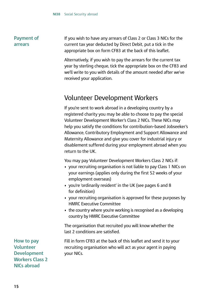#### **Payment of arrears**

If you wish to have any arrears of Class 2 or Class 3 NICs for the current tax year deducted by Direct Debit, put a tick in the appropriate box on form CF83 at the back of this leaflet.

Alternatively, if you wish to pay the arrears for the current tax year by sterling cheque, tick the appropriate box on the CF83 and we'll write to you with details of the amount needed after we've received your application.

### Volunteer Development Workers

If you're sent to work abroad in a developing country by a registered charity you may be able to choose to pay the special Volunteer Development Worker's Class 2 NICs. These NICs may help you satisfy the conditions for contribution–based Jobseeker's Allowance, Contributory Employment and Support Allowance and Maternity Allowance and give you cover for industrial injury or disablement suffered during your employment abroad when you return to the UK.

You may pay Volunteer Development Workers Class 2 NICs if:

- your recruiting organisation is not liable to pay Class 1 NICs on your earnings (applies only during the first 52 weeks of your employment overseas)
- you're 'ordinarily resident' in the UK (see pages 6 and 8 for definition)
- your recruiting organisation is approved for these purposes by HMRC Executive Committee
- • the country where you're working is recognised as a developing country by HMRC Executive Committee

The organisation that recruited you will know whether the last 2 conditions are satisfied.

Fill in form CF83 at the back of this leaflet and send it to your recruiting organisation who will act as your agent in paying your NICs.

**How to pay Volunteer Development Workers Class 2 NICs abroad**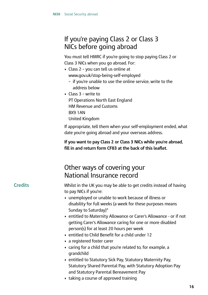### If you're paying Class 2 or Class 3 NICs before going abroad

You must tell HMRC if you're going to stop paying Class 2 or Class 3 NICs when you go abroad. For:

- Class 2 you can tell us online at <www.gov.uk/stop-being-self-employed>
	- if you're unable to use the online service, write to the address below
- Class 3 write to PT Operations North East England HM Revenue and Customs BX9 1AN United Kingdom

If appropriate, tell them when your self-employment ended, what date you're going abroad and your overseas address.

**If you want to pay Class 2 or Class 3 NICs while you're abroad, fill in and return form CF83 at the back of this leaflet.**

### Other ways of covering your National Insurance record

### **Credits**

Whilst in the UK you may be able to get credits instead of having to pay NICs if you're:

- unemployed or unable to work because of illness or disability for full weeks (a week for these purposes means Sunday to Saturday)\*
- entitled to Maternity Allowance or Carer's Allowance or if not getting Carer's Allowance caring for one or more disabled person(s) for at least 20 hours per week
- entitled to Child Benefit for a child under 12
- a registered foster carer
- caring for a child that you're related to, for example, a grandchild
- entitled to Statutory Sick Pay, Statutory Maternity Pay, Statutory Shared Parental Pay, with Statutory Adoption Pay and Statutory Parental Bereavement Pay
- taking a course of approved training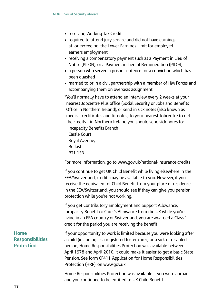- receiving Working Tax Credit
- required to attend jury service and did not have earnings at, or exceeding, the Lower Earnings Limit for employed earners employment
- • receiving a compensatory payment such as a Payment in Lieu of Notice (PILON), or a Payment in Lieu of Remuneration (PILOR)
- a person who served a prison sentence for a conviction which has been quashed
- married to or in a civil partnership with a member of HM Forces and accompanying them on overseas assignment

\*You'll normally have to attend an interview every 2 weeks at your nearest Jobcentre Plus office (Social Security or Jobs and Benefits Office in Northern Ireland), or send in sick notes (also known as medical certificates and fit notes) to your nearest Jobcentre to get the credits – in Northern Ireland you should send sick notes to: Incapacity Benefits Branch Castle Court Royal Avenue, Belfast BT1 1SB

For more information, go to<www.gov.uk/national-insurance-credits>

If you continue to get UK Child Benefit while living elsewhere in the EEA/Switzerland, credits may be available to you. However, if you receive the equivalent of Child Benefit from your place of residence in the EEA/Switzerland, you should see if they can give you pension protection while you're not working.

If you get Contributory Employment and Support Allowance, Incapacity Benefit or Carer's Allowance from the UK while you're living in an EEA country or Switzerland, you are awarded a Class 1 credit for the period you are receiving the benefit.

If your opportunity to work is limited because you were looking after a child (including as a registered foster carer) or a sick or disabled person, Home Responsibilities Protection was available between April 1978 and April 2010. It could make it easier to get a basic State Pension. See form CF411 'Application for Home Responsibilities Protection (HRP)' on<www.gov.uk>

Home Responsibilities Protection was available if you were abroad, and you continued to be entitled to UK Child Benefit.

**Home Responsibilities Protection**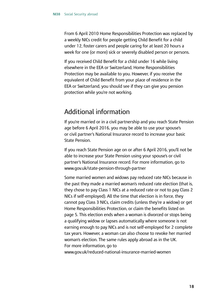From 6 April 2010 Home Responsibilities Protection was replaced by a weekly NICs credit for people getting Child Benefit for a child under 12, foster carers and people caring for at least 20 hours a week for one (or more) sick or severely disabled person or persons.

If you received Child Benefit for a child under 16 while living elsewhere in the EEA or Switzerland, Home Responsibilities Protection may be available to you. However, if you receive the equivalent of Child Benefit from your place of residence in the EEA or Switzerland, you should see if they can give you pension protection while you're not working.

### Additional information

If you're married or in a civil partnership and you reach State Pension age before 6 April 2016, you may be able to use your spouse's or civil partner's National Insurance record to increase your basic State Pension.

If you reach State Pension age on or after 6 April 2016, you'll not be able to increase your State Pension using your spouse's or civil partner's National Insurance record. For more information, go to <www.gov.uk/state-pension-through-partner>

Some married women and widows pay reduced rate NICs because in the past they made a married woman's reduced rate election (that is, they chose to pay Class 1 NICs at a reduced rate or not to pay Class 2 NICs if self-employed). All the time that election is in force, they cannot pay Class 3 NICs, claim credits (unless they're a widow) or get Home Responsibilities Protection, or claim the benefits listed on page 5. This election ends when a woman is divorced or stops being a qualifying widow or lapses automatically where someone is not earning enough to pay NICs and is not self-employed for 2 complete tax years. However, a woman can also choose to revoke her married woman's election. The same rules apply abroad as in the UK. For more information, go to <www.gov.uk/reduced-national-insurance-married-women>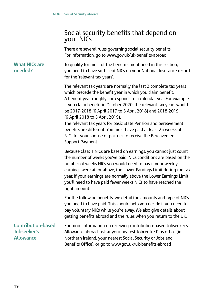### Social security benefits that depend on your NICs

There are several rules governing social security benefits. For information, go to<www.gov.uk/uk-benefits-abroad>

To qualify for most of the benefits mentioned in this section, you need to have sufficient NICs on your National Insurance record for the 'relevant tax years'.

The relevant tax years are normally the last 2 complete tax years which precede the benefit year in which you claim benefit. A benefit year roughly corresponds to a calendar year.For example, if you claim benefit in October 2020, the relevant tax years would be 2017-2018 (6 April 2017 to 5 April 2018) and 2018-2019 (6 April 2018 to 5 April 2019).

The relevant tax years for basic State Pension and bereavement benefits are different. You must have paid at least 25 weeks of NICs for your spouse or partner to receive the Bereavement Support Payment.

Because Class 1 NICs are based on earnings, you cannot just count the number of weeks you've paid. NICs conditions are based on the number of weeks NICs you would need to pay if your weekly earnings were at, or above, the Lower Earnings Limit during the tax year. If your earnings are normally above the Lower Earnings Limit, you'll need to have paid fewer weeks NICs to have reached the right amount.

For the following benefits, we detail the amounts and type of NICs you need to have paid. This should help you decide if you need to pay voluntary NICs while you're away. We also give details about getting benefits abroad and the rules when you return to the UK.

**Contribution-based Jobseeker's Allowance** For more information on receiving contribution-based Jobseeker's Allowance abroad, ask at your nearest Jobcentre Plus office (in Northern Ireland, your nearest Social Security or Jobs and Benefits Office), or go to<www.gov.uk/uk-benefits-abroad>

#### **What NICs are needed?**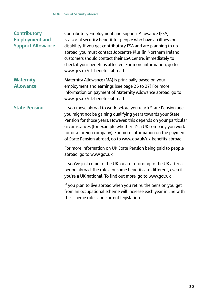#### **Contributory Employment and Support Allowance**

Contributory Employment and Support Allowance (ESA) is a social security benefit for people who have an illness or disability. If you get contributory ESA and are planning to go abroad, you must contact Jobcentre Plus (in Northern Ireland customers should contact their ESA Centre, immediately to check if your benefit is affected. For more information, go to <www.gov.uk/uk-benefits-abroad>

#### **Maternity Allowance** Maternity Allowance (MA) is principally based on your employment and earnings (see page 26 to 27) For more information on payment of Maternity Allowance abroad, go to <www.gov.uk/uk-benefits-abroad>

**State Pension** If you move abroad to work before you reach State Pension age, you might not be gaining qualifying years towards your State Pension for those years. However, this depends on your particular circumstances (for example whether it's a UK company you work for or a foreign company). For more information on the payment of State Pension abroad, go to<www.gov.uk/uk-benefits-abroad>

> For more information on UK State Pension being paid to people abroad, go to<www.gov.uk>

> If you've just come to the UK, or are returning to the UK after a period abroad, the rules for some benefits are different, even if you're a UK national. To find out more, go to<www.gov.uk>

If you plan to live abroad when you retire, the pension you get from an occupational scheme will increase each year in line with the scheme rules and current legislation.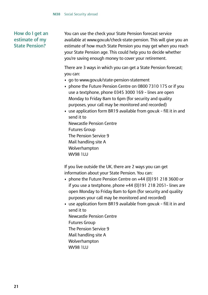#### **How do I get an estimate of my State Pension?**

You can use the check your State Pension forecast service available at<www.gov.uk/check-state-pension>. This will give you an estimate of how much State Pension you may get when you reach your State Pension age. This could help you to decide whether you're saving enough money to cover your retirement.

There are 3 ways in which you can get a State Pension forecast; you can:

- go to<www.gov.uk/state-pension-statement>
- phone the Future Pension Centre on 0800 7310 175 or if you use a textphone, phone 0345 3000 169 – lines are open Monday to Friday 8am to 6pm (for security and quality purposes, your call may be monitored and recorded)
- use application form BR19 available from gov.uk fill it in and send it to Newcastle Pension Centre Futures Group The Pension Service 9 Mail handling site A Wolverhampton WV98 1LU

If you live outside the UK, there are 2 ways you can get information about your State Pension. You can:

- phone the Future Pension Centre on +44 (0)191 218 3600 or if you use a textphone, phone +44 (0)191 218 2051– lines are open Monday to Friday 8am to 6pm (for security and quality purposes your call may be monitored and recorded)
- use application form BR19 available from gov.uk fill it in and send it to Newcastle Pension Centre Futures Group The Pension Service 9 Mail handling site A Wolverhampton **WV98 1LLL**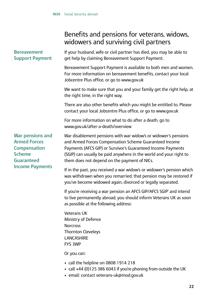### Benefits and pensions for veterans, widows, widowers and surviving civil partners

| <b>Bereavement</b><br><b>Support Payment</b>                                                                                          | If your husband, wife or civil partner has died, you may be able to<br>get help by claiming Bereavement Support Payment.                                                                                                                                                                                        |
|---------------------------------------------------------------------------------------------------------------------------------------|-----------------------------------------------------------------------------------------------------------------------------------------------------------------------------------------------------------------------------------------------------------------------------------------------------------------|
|                                                                                                                                       | Bereavement Support Payment is available to both men and women.<br>For more information on bereavement benefits, contact your local<br>Jobcentre Plus office, or go to www.gov.uk                                                                                                                               |
|                                                                                                                                       | We want to make sure that you and your family get the right help, at<br>the right time, in the right way.                                                                                                                                                                                                       |
|                                                                                                                                       | There are also other benefits which you might be entitled to. Please<br>contact your local Jobcentre Plus office, or go to www.gov.uk                                                                                                                                                                           |
|                                                                                                                                       | For more information on what to do after a death, go to<br>www.qov.uk/after-a-death/overview                                                                                                                                                                                                                    |
| <b>War pensions and</b><br><b>Armed Forces</b><br><b>Compensation</b><br><b>Scheme</b><br><b>Guaranteed</b><br><b>Income Payments</b> | War disablement pensions with war widow's or widower's pensions<br>and Armed Forces Compensation Scheme Guaranteed Income<br>Payments (AFCS GIP) or Survivor's Guaranteed Income Payments<br>(SGIP) can usually be paid anywhere in the world and your right to<br>them does not depend on the payment of NICs. |
|                                                                                                                                       | If in the past, you received a war widow's or widower's pension which<br>was withdrawn when you remarried, that pension may be restored if<br>you've become widowed again, divorced or legally separated.                                                                                                       |
|                                                                                                                                       | If you're receiving a war pension an AFCS GIP/AFCS SGIP' and intend<br>to live permanently abroad, you should inform Veterans UK as soon<br>as possible at the following address:                                                                                                                               |
|                                                                                                                                       | <b>Veterans UK</b><br>Ministry of Defence<br><b>Norcross</b><br><b>Thornton Cleveleys</b><br>LANCASHIRE<br>FY5 3WP                                                                                                                                                                                              |

Or you can:

- call the helpline on 0808 1914 218
- call +44 (0)125 386 6043 if you're phoning from outside the UK
- email: contact veterans-uk@mod.gov.uk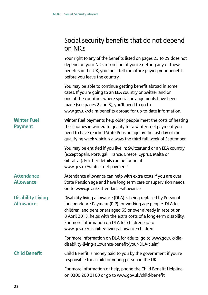### Social security benefits that do not depend on NICs

 Your right to any of the benefits listed on pages 23 to 29 does not **Winter Fuel Payment Attendance Allowance Disability Living Allowance Child Benefit** depend on your NICs record, but if you're getting any of these benefits in the UK, you must tell the office paying your benefit before you leave the country. You may be able to continue getting benefit abroad in some cases. If you're going to an EEA country or Switzerland or one of the countries where special arrangements have been made (see pages 2 and 3), you'll need to go to <www.gov.uk/claim-benefits-abroad>for up-to-date information. Winter fuel payments help older people meet the costs of heating their homes in winter. To qualify for a winter fuel payment you need to have reached State Pension age by the last day of the qualifying week which is always the third full week of September. You may be entitled if you live in: Switzerland or an EEA country (except Spain, Portugal, France, Greece, Cyprus, Malta or Gibraltar). Further details can be found at <www.gov.uk/winter-fuel-payment>' Attendance allowance can help with extra costs if you are over State Pension age and have long term care or supervision needs. Go to<www.gov.uk/attendance-allowance> Disability living allowance (DLA) is being replaced by Personal Independence Payment (PIP) for working age people. DLA for children, and pensioners aged 65 or over already in receipt on 8 April 2013, helps with the extra costs of a long-term disability. For more information on DLA for children, go to <www.gov.uk/disability-living-allowance-children> For more information on DLA for adults, go to<www.gov.uk/dla>disability-living-allowance-benefit/your-DLA-claim' Child Benefit is money paid to you by the government if you're responsible for a child or young person in the UK. For more information or help, phone the Child Benefit Helpline on 0300 200 3100 or go to<www.gov.uk/child-benefit>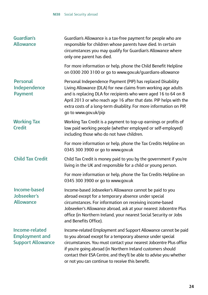| <b>Guardian's</b><br><b>Allowance</b>                               | Guardian's Allowance is a tax-free payment for people who are<br>responsible for children whose parents have died. In certain<br>circumstances you may qualify for Guardian's Allowance where<br>only one parent has died.                                                                                                                                                                    |
|---------------------------------------------------------------------|-----------------------------------------------------------------------------------------------------------------------------------------------------------------------------------------------------------------------------------------------------------------------------------------------------------------------------------------------------------------------------------------------|
|                                                                     | For more information or help, phone the Child Benefit Helpline<br>on 0300 200 3100 or go to www.gov.uk/guardians-allowance                                                                                                                                                                                                                                                                    |
| <b>Personal</b><br>Independence<br><b>Payment</b>                   | Personal Independence Payment (PIP) has replaced Disability<br>Living Allowance (DLA) for new claims from working age adults<br>and is replacing DLA for recipients who were aged 16 to 64 on 8<br>April 2013 or who reach age 16 after that date. PIP helps with the<br>extra costs of a long-term disability. For more information on PIP,<br>go to www.gov.uk/pip                          |
| <b>Working Tax</b><br><b>Credit</b>                                 | Working Tax Credit is a payment to top-up earnings or profits of<br>low paid working people (whether employed or self-employed)<br>including those who do not have children.                                                                                                                                                                                                                  |
|                                                                     | For more information or help, phone the Tax Credits Helpline on<br>0345 300 3900 or go to www.gov.uk                                                                                                                                                                                                                                                                                          |
| <b>Child Tax Credit</b>                                             | Child Tax Credit is money paid to you by the government if you're<br>living in the UK and responsible for a child or young person.                                                                                                                                                                                                                                                            |
|                                                                     | For more information or help, phone the Tax Credits Helpline on<br>0345 300 3900 or go to www.gov.uk                                                                                                                                                                                                                                                                                          |
| <b>Income-based</b><br><b>Jobseeker's</b><br><b>Allowance</b>       | Income-based Jobseeker's Allowance cannot be paid to you<br>abroad except for a temporary absence under special<br>circumstances. For information on receiving income-based<br>Jobseeker's Allowance abroad, ask at your nearest Jobcentre Plus<br>office (in Northern Ireland, your nearest Social Security or Jobs<br>and Benefits Office).                                                 |
| Income-related<br><b>Employment and</b><br><b>Support Allowance</b> | Income-related Employment and Support Allowance cannot be paid<br>to you abroad except for a temporary absence under special<br>circumstances. You must contact your nearest Jobcentre Plus office<br>if you're going abroad (in Northern Ireland customers should<br>contact their ESA Centre, and they'll be able to advise you whether<br>or not you can continue to receive this benefit. |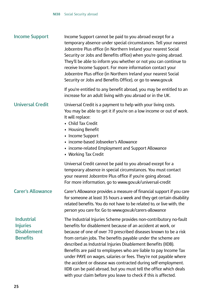| <b>Income Support</b>                                                         | Income Support cannot be paid to you abroad except for a<br>temporary absence under special circumstances. Tell your nearest<br>Jobcentre Plus office (in Northern Ireland your nearest Social<br>Security or Jobs and Benefits office) when you're going abroad.<br>They'll be able to inform you whether or not you can continue to<br>receive Income Support. For more information contact your<br>Jobcentre Plus office (in Northern Ireland your nearest Social<br>Security or Jobs and Benefits Office), or go to www.gov.uk                                                                                                                                                    |
|-------------------------------------------------------------------------------|---------------------------------------------------------------------------------------------------------------------------------------------------------------------------------------------------------------------------------------------------------------------------------------------------------------------------------------------------------------------------------------------------------------------------------------------------------------------------------------------------------------------------------------------------------------------------------------------------------------------------------------------------------------------------------------|
|                                                                               | If you're entitled to any benefit abroad, you may be entitled to an<br>increase for an adult living with you abroad or in the UK.                                                                                                                                                                                                                                                                                                                                                                                                                                                                                                                                                     |
| <b>Universal Credit</b>                                                       | Universal Credit is a payment to help with your living costs.<br>You may be able to get it if you're on a low income or out of work.<br>It will replace:<br>• Child Tax Credit<br>• Housing Benefit<br>• Income Support<br>• income-based Jobseeker's Allowance<br>• income-related Employment and Support Allowance<br>• Working Tax Credit                                                                                                                                                                                                                                                                                                                                          |
|                                                                               | Universal Credit cannot be paid to you abroad except for a<br>temporary absence in special circumstances. You must contact<br>your nearest Jobcentre Plus office if you're going abroad.<br>For more information, go to www.gov.uk/universal-credit                                                                                                                                                                                                                                                                                                                                                                                                                                   |
| <b>Carer's Allowance</b>                                                      | Carer's Allowance provides a measure of financial support if you care<br>for someone at least 35 hours a week and they get certain disability<br>related benefits. You do not have to be related to, or live with, the<br>person you care for. Go to www.gov.uk/carers-allowance                                                                                                                                                                                                                                                                                                                                                                                                      |
| <b>Industrial</b><br><b>Injuries</b><br><b>Disablement</b><br><b>Benefits</b> | The Industrial Injuries Scheme provides non-contributory no-fault<br>benefits for disablement because of an accident at work, or<br>because of one of over 70 prescribed diseases known to be a risk<br>from certain jobs. The benefits payable under the scheme are<br>described as Industrial Injuries Disablement Benefits (IIDB).<br>Benefits are paid to employees who are liable to pay Income Tax<br>under PAYE on wages, salaries or fees. They're not payable where<br>the accident or disease was contracted during self-employment.<br>IIDB can be paid abroad, but you must tell the office which deals<br>with your claim before you leave to check if this is affected. |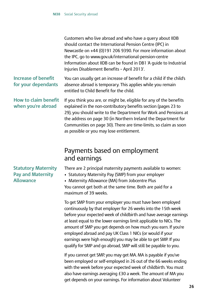Customers who live abroad and who have a query about IIDB should contact the International Pension Centre (IPC) in Newcastle on +44 (0)191 206 9390. For more information about the IPC, go to<www.gov.uk/international-pension-centre> Information about IIDB can be found in DB1 'A guide to Industrial Injuries Disablement Benefits – April 2013'.

### **Increase of benefit for your dependants**

You can usually get an increase of benefit for a child if the child's absence abroad is temporary. This applies while you remain entitled to Child Benefit for the child.

#### **How to claim benefit when you're abroad**

 explained in the non-contributory benefits section (pages 23 to If you think you are, or might be, eligible for any of the benefits 29), you should write to the Department for Work and Pensions at the address on page 30 (in Northern Ireland the Department for Communities on page 30). There are time-limits, so claim as soon as possible or you may lose entitlement.

### Payments based on employment and earnings

#### There are 2 principal maternity payments available to women:

• Statutory Maternity Pay (SMP) from your employer

• Maternity Allowance (MA) from Jobcentre Plus You cannot get both at the same time. Both are paid for a maximum of 39 weeks.

 To get SMP from your employer you must have been employed continuously by that employer for 26 weeks into the 15th week before your expected week of childbirth and have average earnings at least equal to the lower earnings limit applicable to NICs. The amount of SMP you get depends on how much you earn. If you're employed abroad and pay UK Class 1 NICs (or would if your earnings were high enough) you may be able to get SMP. If you qualify for SMP and go abroad, SMP will still be payable to you.

 If you cannot get SMP, you may get MA. MA is payable if you've been employed or self-employed in 26 out of the 66 weeks ending with the week before your expected week of childbirth. You must also have earnings averaging £30 a week. The amount of MA you get depends on your earnings. For information about Volunteer

### **Statutory Maternity Pay and Maternity Allowance**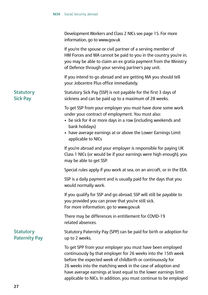|                                          | Development Workers and Class 2 NICs see page 15. For more<br>information, go to www.gov.uk                                                                                                                                                                                                                                                                                                      |
|------------------------------------------|--------------------------------------------------------------------------------------------------------------------------------------------------------------------------------------------------------------------------------------------------------------------------------------------------------------------------------------------------------------------------------------------------|
|                                          | If you're the spouse or civil partner of a serving member of<br>HM Forces and MA cannot be paid to you in the country you're in,<br>you may be able to claim an ex gratia payment from the Ministry<br>of Defence through your serving partner's pay unit.                                                                                                                                       |
|                                          | If you intend to go abroad and are getting MA you should tell<br>your Jobcentre Plus office immediately.                                                                                                                                                                                                                                                                                         |
| <b>Statutory</b><br><b>Sick Pay</b>      | Statutory Sick Pay (SSP) is not payable for the first 3 days of<br>sickness and can be paid up to a maximum of 28 weeks.                                                                                                                                                                                                                                                                         |
|                                          | To get SSP from your employer you must have done some work<br>under your contract of employment. You must also:<br>• be sick for 4 or more days in a row (including weekends and<br>bank holidays)<br>• have average earnings at or above the Lower Earnings Limit<br>applicable to NICs                                                                                                         |
|                                          | If you're abroad and your employer is responsible for paying UK<br>Class 1 NICs (or would be if your earnings were high enough), you<br>may be able to get SSP.                                                                                                                                                                                                                                  |
|                                          | Special rules apply if you work at sea, on an aircraft, or in the EEA.                                                                                                                                                                                                                                                                                                                           |
|                                          | SSP is a daily payment and is usually paid for the days that you<br>would normally work.                                                                                                                                                                                                                                                                                                         |
|                                          | If you qualify for SSP and go abroad, SSP will still be payable to<br>you provided you can prove that you're still sick.<br>For more information, go to www.gov.uk                                                                                                                                                                                                                               |
|                                          | There may be differences in entitlement for COVID-19<br>related absences.                                                                                                                                                                                                                                                                                                                        |
| <b>Statutory</b><br><b>Paternity Pay</b> | Statutory Paternity Pay (SPP) can be paid for birth or adoption for<br>up to 2 weeks.                                                                                                                                                                                                                                                                                                            |
|                                          | To get SPP from your employer you must have been employed<br>continuously by that employer for 26 weeks into the 15th week<br>before the expected week of childbirth or continuously for<br>26 weeks into the matching week in the case of adoption and<br>have average earnings at least equal to the lower earnings limit<br>applicable to NICs. In addition, you must continue to be employed |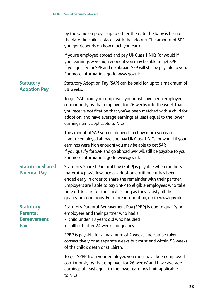to NICs.

|                                                                  | by the same employer up to either the date the baby is born or<br>the date the child is placed with the adopter. The amount of SPP<br>you get depends on how much you earn.                                                                                                                                                                                                                       |
|------------------------------------------------------------------|---------------------------------------------------------------------------------------------------------------------------------------------------------------------------------------------------------------------------------------------------------------------------------------------------------------------------------------------------------------------------------------------------|
|                                                                  | If you're employed abroad and pay UK Class 1 NICs (or would if<br>your earnings were high enough) you may be able to get SPP.<br>If you qualify for SPP and go abroad, SPP will still be payable to you.<br>For more information, go to www.gov.uk                                                                                                                                                |
| <b>Statutory</b><br><b>Adoption Pay</b>                          | Statutory Adoption Pay (SAP) can be paid for up to a maximum of<br>39 weeks.                                                                                                                                                                                                                                                                                                                      |
|                                                                  | To get SAP from your employer, you must have been employed<br>continuously by that employer for 26 weeks into the week that<br>you receive notification that you've been matched with a child for<br>adoption, and have average earnings at least equal to the lower<br>earnings limit applicable to NICs.                                                                                        |
|                                                                  | The amount of SAP you get depends on how much you earn.<br>If you're employed abroad and pay UK Class 1 NICs (or would if your<br>earnings were high enough) you may be able to get SAP.<br>If you qualify for SAP and go abroad SAP will still be payable to you.<br>For more information, go to www.gov.uk                                                                                      |
| <b>Statutory Shared</b><br><b>Parental Pay</b>                   | Statutory Shared Parental Pay (ShPP) is payable when mothers<br>maternity pay/allowance or adoption entitlement has been<br>ended early in order to share the remainder with their partner.<br>Employers are liable to pay ShPP to eligible employees who take<br>time off to care for the child as long as they satisfy all the<br>qualifying conditions. For more information, go to www.gov.uk |
| <b>Statutory</b><br><b>Parental</b><br><b>Bereavement</b><br>Pay | Statutory Parental Bereavement Pay (SPBP) is due to qualifying<br>employees and their partner who had a:<br>• child under 18 years old who has died<br>• stillbirth after 24 weeks pregnancy                                                                                                                                                                                                      |
|                                                                  | SPBP is payable for a maximum of 2 weeks and can be taken<br>consecutively or as separate weeks but must end within 56 weeks<br>of the child's death or stillbirth.                                                                                                                                                                                                                               |
|                                                                  | To get SPBP from your employer, you must have been employed<br>continuously by that employer for 26 weeks' and have average<br>earnings at least equal to the lower earnings limit applicable                                                                                                                                                                                                     |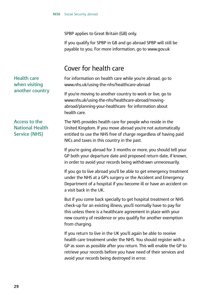SPBP applies to Great Britain (GB) only.

If you qualify for SPBP in GB and go abroad SPBP will still be payable to you. For more information, go to<www.gov.uk>

### Cover for health care

For information on health care while you're abroad, go to <www.nhs.uk/using-the-nhs/healthcare-abroad>

 abroad/planning-your-healthcare for information about If you're moving to another country to work or live, go to <www.nhs.uk/using-the-nhs/healthcare-abroad/moving>health care.

**Access to the National Health Service (NHS)**

**Health care when visiting another country**

> The NHS provides health care for people who reside in the United Kingdom. If you move abroad you're not automatically entitled to use the NHS free of charge regardless of having paid NICs and taxes in this country in the past.

If you're going abroad for 3 months or more, you should tell your GP both your departure date and proposed return date, if known, in order to avoid your records being withdrawn unnecessarily.

If you go to live abroad you'll be able to get emergency treatment under the NHS at a GP's surgery or the Accident and Emergency Department of a hospital if you become ill or have an accident on a visit back in the UK.

But if you come back specially to get hospital treatment or NHS check-up for an existing illness, you'll normally have to pay for this unless there is a healthcare agreement in place with your new country of residence or you qualify for another exemption from charging.

If you return to live in the UK you'll again be able to receive health care treatment under the NHS. You should register with a GP as soon as possible after you return. This will enable the GP to retrieve your records before you have need of their services and avoid your records being destroyed in error.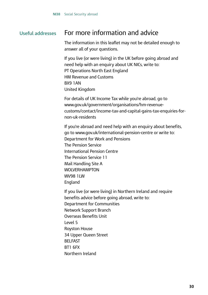### **Useful addresses** For more information and advice

The information in this leaflet may not be detailed enough to answer all of your questions.

If you live (or were living) in the UK before going abroad and need help with an enquiry about UK NICs, write to: PT Operations North East England HM Revenue and Customs BX9 1AN United Kingdom

For details of UK Income Tax while you're abroad, go to <www.gov.uk/government/organisations/hm-revenue>customs/contact/income-tax-and-capital-gains-tax-enquiries-fornon-uk-residents

If you're abroad and need help with an enquiry about benefits, go to<www.gov.uk/international-pension-centre> or write to: Department for Work and Pensions The Pension Service International Pension Centre The Pension Service 11 Mail Handling Site A WOLVERHAMPTON WV98 1LW England

If you live (or were living) in Northern Ireland and require benefits advice before going abroad, write to: Department for Communities Network Support Branch Overseas Benefits Unit Level 5 Royston House 34 Upper Queen Street BELFAST BT1 6FX Northern Ireland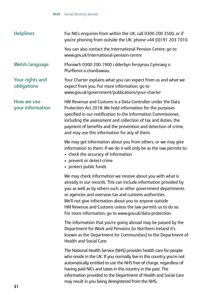| <b>Helplines</b>               | For NICs enquiries from within the UK, call 0300 200 3500, or if<br>you're phoning from outside the UK, phone +44 (0)191 203 7010.                                                                                                                                                                                                                                                                                                         |
|--------------------------------|--------------------------------------------------------------------------------------------------------------------------------------------------------------------------------------------------------------------------------------------------------------------------------------------------------------------------------------------------------------------------------------------------------------------------------------------|
|                                | You can also contact the International Pension Centre, go to<br>www.gov.uk/international-pension-centre                                                                                                                                                                                                                                                                                                                                    |
| <b>Welsh language</b>          | Ffoniwch 0300 200 1900 i dderbyn fersiynau Cymraeg o<br>ffurflenni a chanllawiau.                                                                                                                                                                                                                                                                                                                                                          |
| Your rights and<br>obligations | Your Charter explains what you can expect from us and what we<br>expect from you. For more information, go to<br>www.qov.uk/qovernment/publications/your-charter                                                                                                                                                                                                                                                                           |
| How we use<br>your information | HM Revenue and Customs is a Data Controller under the Data<br>Protection Act 2018. We hold information for the purposes<br>specified in our notification to the Information Commissioner,<br>including the assessment and collection of tax and duties, the<br>payment of benefits and the prevention and detection of crime,<br>and may use this information for any of them.                                                             |
|                                | We may get information about you from others, or we may give<br>information to them. If we do it will only be as the law permits to:<br>• check the accuracy of information<br>• prevent or detect crime<br>• protect public funds                                                                                                                                                                                                         |
|                                | We may check information we receive about you with what is<br>already in our records. This can include information provided by<br>you as well as by others such as other government departments<br>or agencies and overseas tax and customs authorities.<br>We'll not give information about you to anyone outside<br>HM Revenue and Customs unless the law permits us to do so.<br>For more information, go to www.gov.uk/data-protection |
|                                | The information that you're going abroad may be passed by the<br>Department for Work and Pensions (in Northern Ireland it's<br>known as the Department for Communities) to the Department of<br>Health and Social Care.                                                                                                                                                                                                                    |
|                                | The National Health Service (NHS) provides health care for people<br>who reside in the UK. If you normally live in this country you're not<br>automatically entitled to use the NHS free of charge, regardless of<br>having paid NICs and taxes in this country in the past. The<br>information provided to the Department of Health and Social Care                                                                                       |

may result in you being deregistered from the NHS.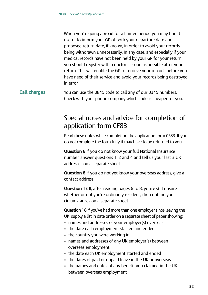When you're going abroad for a limited period you may find it useful to inform your GP of both your departure date and proposed return date, if known, in order to avoid your records being withdrawn unnecessarily. In any case, and especially if your medical records have not been held by your GP for your return, you should register with a doctor as soon as possible after your return. This will enable the GP to retrieve your records before you have need of their service and avoid your records being destroyed in error.

#### **Call charges** You can use the 0845 code to call any of our 0345 numbers. Check with your phone company which code is cheaper for you.

### Special notes and advice for completion of application form CF83

 Read these notes while completing the application form CF83. If you do not complete the form fully it may have to be returned to you.

**Question 6** If you do not know your full National Insurance number, answer questions 1, 2 and 4 and tell us your last 3 UK addresses on a separate sheet.

**Question 8** If you do not yet know your overseas address, give a contact address.

**Question 12** If, after reading pages 6 to 8, you're still unsure whether or not you're ordinarily resident, then outline your circumstances on a separate sheet.

 **Question 18** If you've had more than one employer since leaving the UK, supply a list in date order on a separate sheet of paper showing:

- names and addresses of your employer(s) overseas
- the date each employment started and ended
- the country you were working in
- names and addresses of any UK employer(s) between overseas employment
- the date each UK employment started and ended
- the dates of paid or unpaid leave in the UK or overseas
- the names and dates of any benefit you claimed in the UK between overseas employment

#### **32**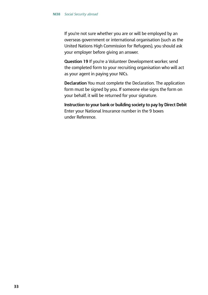If you're not sure whether you are or will be employed by an overseas government or international organisation (such as the United Nations High Commission for Refugees), you should ask your employer before giving an answer.

**Question 19** If you're a Volunteer Development worker, send the completed form to your recruiting organisation who will act as your agent in paying your NICs.

**Declaration** You must complete the Declaration. The application form must be signed by you. If someone else signs the form on your behalf, it will be returned for your signature.

 **Instruction to your bank or building society to pay by Direct Debit** Enter your National Insurance number in the 9 boxes under Reference.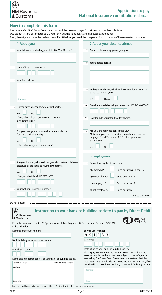

# **How to complete this form**

 Read, then sign and date the declaration at Part 8 before you send the completed form to us, or we'll have to return it to you. Read the leaflet NI38 Social Security abroad and the notes on pages 31 before you complete this form. Use capital letters, enter dates as DD MM YYYY, tick the right boxes and use black ballpoint pen.

| 1 About you                                                                                                   | 2 About your absence abroad                                                                                       |  |  |
|---------------------------------------------------------------------------------------------------------------|-------------------------------------------------------------------------------------------------------------------|--|--|
| Your full name (including your title, Mr, Mrs, Miss, Ms)<br>$\mathbf{1}$                                      | Name of the country you're going to<br>$\overline{7}$                                                             |  |  |
|                                                                                                               |                                                                                                                   |  |  |
|                                                                                                               |                                                                                                                   |  |  |
|                                                                                                               | Your address abroad<br>8                                                                                          |  |  |
| Date of birth DD MM YYYY<br>$\mathbf{2}$                                                                      |                                                                                                                   |  |  |
|                                                                                                               |                                                                                                                   |  |  |
| Your UK address<br>3                                                                                          |                                                                                                                   |  |  |
|                                                                                                               |                                                                                                                   |  |  |
|                                                                                                               | While you're abroad, which address would you prefer us<br>9                                                       |  |  |
|                                                                                                               | to use to contact you?                                                                                            |  |  |
| Postcode                                                                                                      | Abroad<br>UK                                                                                                      |  |  |
|                                                                                                               | On what date did or will you leave the UK? DD MM YYYY<br>10 <sup>1</sup>                                          |  |  |
| Do you have a husband, wife or civil partner?<br>4                                                            |                                                                                                                   |  |  |
| <b>No</b><br>Yes                                                                                              |                                                                                                                   |  |  |
| If Yes, when did you get married or form a                                                                    | How long do you intend to stay abroad?<br>11                                                                      |  |  |
| civil partnership?                                                                                            |                                                                                                                   |  |  |
|                                                                                                               |                                                                                                                   |  |  |
| Did you change your name when you married or<br>formed a civil partnership?                                   | Are you ordinarily resident in the UK?<br>12 <sub>1</sub><br>Make sure you read the section on ordinary residence |  |  |
|                                                                                                               | on pages 6 and 7 in leaflet NI38 before you answer<br>this question                                               |  |  |
| <b>No</b><br>Yes<br>If Yes, what was your former name?                                                        |                                                                                                                   |  |  |
|                                                                                                               | Yes<br><b>No</b>                                                                                                  |  |  |
|                                                                                                               |                                                                                                                   |  |  |
|                                                                                                               | 3 Employment                                                                                                      |  |  |
| Are you divorced, widowed, has your civil partnership been<br>dissolved or are you a surviving civil partner? | Before leaving the UK were you<br>13                                                                              |  |  |
|                                                                                                               | a) employed?<br>Go to questions 14 and 15                                                                         |  |  |
| Yes<br><b>No</b><br>If Yes, on what date? DD MM YYYY                                                          |                                                                                                                   |  |  |
|                                                                                                               | b) self-employed?<br>Go to question 16                                                                            |  |  |
|                                                                                                               | c) unemployed?<br>Go to question 17                                                                               |  |  |
| Your National Insurance number<br>6                                                                           | d) not employed?<br>Go to question 18                                                                             |  |  |
|                                                                                                               | Please turn over                                                                                                  |  |  |
|                                                                                                               |                                                                                                                   |  |  |
| Do not detach                                                                                                 |                                                                                                                   |  |  |
| $\bigcirc$                                                                                                    | Instruction to your bank or building society to pay by Direct Debit                                               |  |  |

| (麻鸭                                                                                                                 | instruction to your bank or building society to pay by Direct Debit                                                                  |  |
|---------------------------------------------------------------------------------------------------------------------|--------------------------------------------------------------------------------------------------------------------------------------|--|
| <b>HM Revenue</b><br>& Customs                                                                                      | DIRECT<br>De b i t                                                                                                                   |  |
| Fill in the form and send to: PT Operations North East England, HM Revenue and Customs, BX9 1AN,<br>United Kingdom. |                                                                                                                                      |  |
| Name(s) of account holder(s)                                                                                        | Service user number                                                                                                                  |  |
|                                                                                                                     | 9<br>9<br>3<br>3                                                                                                                     |  |
| Bank/building society account number                                                                                | Reference                                                                                                                            |  |
|                                                                                                                     |                                                                                                                                      |  |
| Branch sort code                                                                                                    | Instruction to your bank or building society                                                                                         |  |
|                                                                                                                     | Please pay HM Revenue and Customs Direct Debits from the<br>account detailed in this instruction, subject to the safequards          |  |
| Name and full postal address of your bank or building society                                                       | assured by The Direct Debit Guarantee. I understand that this                                                                        |  |
| Bank/building society<br>To: The Manager                                                                            | instruction may remain with HM Revenue and Customs and, if so,<br>details will be passed electronically to my bank/building society. |  |
| <b>Address</b>                                                                                                      |                                                                                                                                      |  |
|                                                                                                                     | Signature                                                                                                                            |  |
|                                                                                                                     |                                                                                                                                      |  |
| Postcode                                                                                                            | Date                                                                                                                                 |  |
| Banks and building societies may not accept Direct Debit instructions for some types of account.                    |                                                                                                                                      |  |